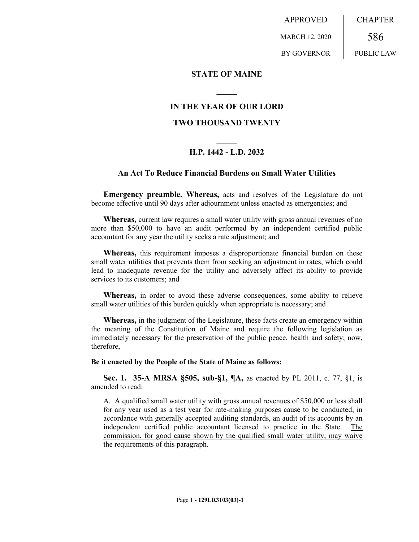APPROVED MARCH 12, 2020 BY GOVERNOR CHAPTER 586 PUBLIC LAW

## **STATE OF MAINE**

# **IN THE YEAR OF OUR LORD**

**\_\_\_\_\_**

## **TWO THOUSAND TWENTY**

# **\_\_\_\_\_ H.P. 1442 - L.D. 2032**

## **An Act To Reduce Financial Burdens on Small Water Utilities**

**Emergency preamble. Whereas,** acts and resolves of the Legislature do not become effective until 90 days after adjournment unless enacted as emergencies; and

**Whereas,** current law requires a small water utility with gross annual revenues of no more than \$50,000 to have an audit performed by an independent certified public accountant for any year the utility seeks a rate adjustment; and

**Whereas,** this requirement imposes a disproportionate financial burden on these small water utilities that prevents them from seeking an adjustment in rates, which could lead to inadequate revenue for the utility and adversely affect its ability to provide services to its customers; and

**Whereas,** in order to avoid these adverse consequences, some ability to relieve small water utilities of this burden quickly when appropriate is necessary; and

**Whereas,** in the judgment of the Legislature, these facts create an emergency within the meaning of the Constitution of Maine and require the following legislation as immediately necessary for the preservation of the public peace, health and safety; now, therefore,

## **Be it enacted by the People of the State of Maine as follows:**

**Sec. 1. 35-A MRSA §505, sub-§1, ¶A,** as enacted by PL 2011, c. 77, §1, is amended to read:

A. A qualified small water utility with gross annual revenues of \$50,000 or less shall for any year used as a test year for rate-making purposes cause to be conducted, in accordance with generally accepted auditing standards, an audit of its accounts by an independent certified public accountant licensed to practice in the State. The commission, for good cause shown by the qualified small water utility, may waive the requirements of this paragraph.